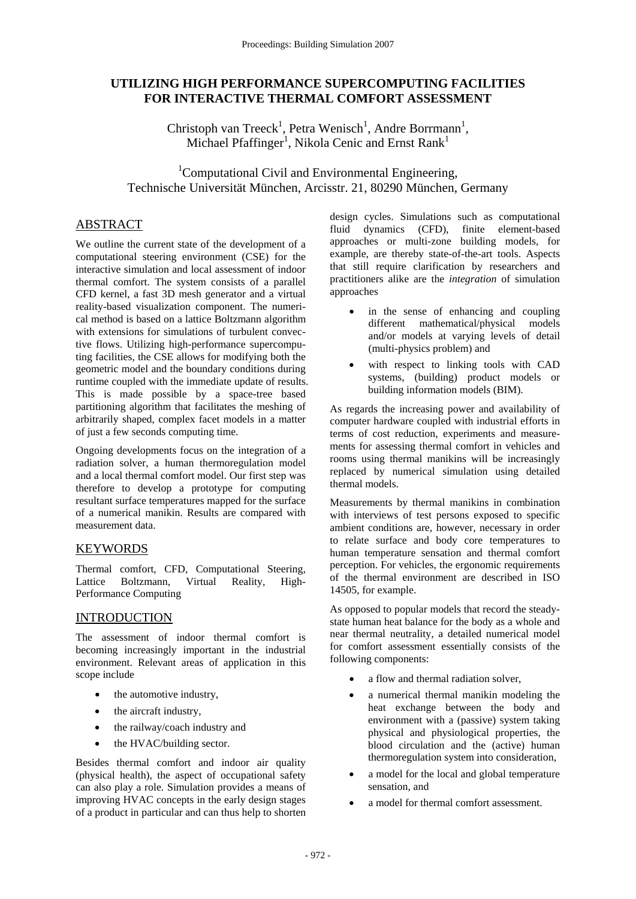# **UTILIZING HIGH PERFORMANCE SUPERCOMPUTING FACILITIES FOR INTERACTIVE THERMAL COMFORT ASSESSMENT**

Christoph van Treeck<sup>1</sup>, Petra Wenisch<sup>1</sup>, Andre Borrmann<sup>1</sup>, Michael Pfaffinger<sup>1</sup>, Nikola Cenic and Ernst Rank<sup>1</sup>

<sup>1</sup>Computational Civil and Environmental Engineering, Technische Universität München, Arcisstr. 21, 80290 München, Germany

# ABSTRACT

We outline the current state of the development of a computational steering environment (CSE) for the interactive simulation and local assessment of indoor thermal comfort. The system consists of a parallel CFD kernel, a fast 3D mesh generator and a virtual reality-based visualization component. The numerical method is based on a lattice Boltzmann algorithm with extensions for simulations of turbulent convective flows. Utilizing high-performance supercomputing facilities, the CSE allows for modifying both the geometric model and the boundary conditions during runtime coupled with the immediate update of results. This is made possible by a space-tree based partitioning algorithm that facilitates the meshing of arbitrarily shaped, complex facet models in a matter of just a few seconds computing time.

Ongoing developments focus on the integration of a radiation solver, a human thermoregulation model and a local thermal comfort model. Our first step was therefore to develop a prototype for computing resultant surface temperatures mapped for the surface of a numerical manikin. Results are compared with measurement data.

# KEYWORDS

Thermal comfort, CFD, Computational Steering, Lattice Boltzmann, Virtual Reality, High-Performance Computing

# INTRODUCTION

The assessment of indoor thermal comfort is becoming increasingly important in the industrial environment. Relevant areas of application in this scope include

- the automotive industry,
- the aircraft industry.
- the railway/coach industry and
- the HVAC/building sector.

Besides thermal comfort and indoor air quality (physical health), the aspect of occupational safety can also play a role. Simulation provides a means of improving HVAC concepts in the early design stages of a product in particular and can thus help to shorten design cycles. Simulations such as computational fluid dynamics (CFD), finite element-based approaches or multi-zone building models, for example, are thereby state-of-the-art tools. Aspects that still require clarification by researchers and practitioners alike are the *integration* of simulation approaches

- in the sense of enhancing and coupling different mathematical/physical models and/or models at varying levels of detail (multi-physics problem) and
- with respect to linking tools with CAD systems, (building) product models or building information models (BIM).

As regards the increasing power and availability of computer hardware coupled with industrial efforts in terms of cost reduction, experiments and measurements for assessing thermal comfort in vehicles and rooms using thermal manikins will be increasingly replaced by numerical simulation using detailed thermal models.

Measurements by thermal manikins in combination with interviews of test persons exposed to specific ambient conditions are, however, necessary in order to relate surface and body core temperatures to human temperature sensation and thermal comfort perception. For vehicles, the ergonomic requirements of the thermal environment are described in ISO 14505, for example.

As opposed to popular models that record the steadystate human heat balance for the body as a whole and near thermal neutrality, a detailed numerical model for comfort assessment essentially consists of the following components:

- a flow and thermal radiation solver,
- a numerical thermal manikin modeling the heat exchange between the body and environment with a (passive) system taking physical and physiological properties, the blood circulation and the (active) human thermoregulation system into consideration,
- a model for the local and global temperature sensation, and
- a model for thermal comfort assessment.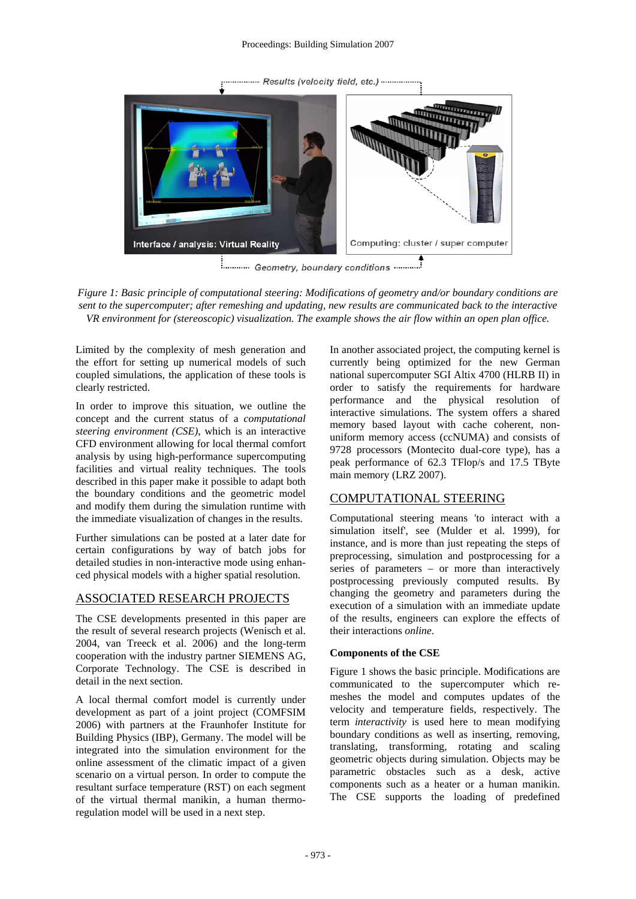.......... Results (velocity field, etc.) ........... Computing: cluster / super computer Interface / analysis: Virtual Reality <u>E.</u>.......... Geometry, boundary conditions ..............

*Figure 1: Basic principle of computational steering: Modifications of geometry and/or boundary conditions are sent to the supercomputer; after remeshing and updating, new results are communicated back to the interactive VR environment for (stereoscopic) visualization. The example shows the air flow within an open plan office.* 

Limited by the complexity of mesh generation and the effort for setting up numerical models of such coupled simulations, the application of these tools is clearly restricted.

In order to improve this situation, we outline the concept and the current status of a *computational steering environment (CSE)*, which is an interactive CFD environment allowing for local thermal comfort analysis by using high-performance supercomputing facilities and virtual reality techniques. The tools described in this paper make it possible to adapt both the boundary conditions and the geometric model and modify them during the simulation runtime with the immediate visualization of changes in the results.

Further simulations can be posted at a later date for certain configurations by way of batch jobs for detailed studies in non-interactive mode using enhanced physical models with a higher spatial resolution.

## ASSOCIATED RESEARCH PROJECTS

The CSE developments presented in this paper are the result of several research projects (Wenisch et al. 2004, van Treeck et al. 2006) and the long-term cooperation with the industry partner SIEMENS AG, Corporate Technology. The CSE is described in detail in the next section.

A local thermal comfort model is currently under development as part of a joint project (COMFSIM 2006) with partners at the Fraunhofer Institute for Building Physics (IBP), Germany. The model will be integrated into the simulation environment for the online assessment of the climatic impact of a given scenario on a virtual person. In order to compute the resultant surface temperature (RST) on each segment of the virtual thermal manikin, a human thermoregulation model will be used in a next step.

In another associated project, the computing kernel is currently being optimized for the new German national supercomputer SGI Altix 4700 (HLRB II) in order to satisfy the requirements for hardware performance and the physical resolution of interactive simulations. The system offers a shared memory based layout with cache coherent, nonuniform memory access (ccNUMA) and consists of 9728 processors (Montecito dual-core type), has a peak performance of 62.3 TFlop/s and 17.5 TByte main memory (LRZ 2007).

## COMPUTATIONAL STEERING

Computational steering means 'to interact with a simulation itself', see (Mulder et al. 1999), for instance, and is more than just repeating the steps of preprocessing, simulation and postprocessing for a series of parameters – or more than interactively postprocessing previously computed results. By changing the geometry and parameters during the execution of a simulation with an immediate update of the results, engineers can explore the effects of their interactions *online*.

### **Components of the CSE**

Figure 1 shows the basic principle. Modifications are communicated to the supercomputer which remeshes the model and computes updates of the velocity and temperature fields, respectively. The term *interactivity* is used here to mean modifying boundary conditions as well as inserting, removing, translating, transforming, rotating and scaling geometric objects during simulation. Objects may be parametric obstacles such as a desk, active components such as a heater or a human manikin. The CSE supports the loading of predefined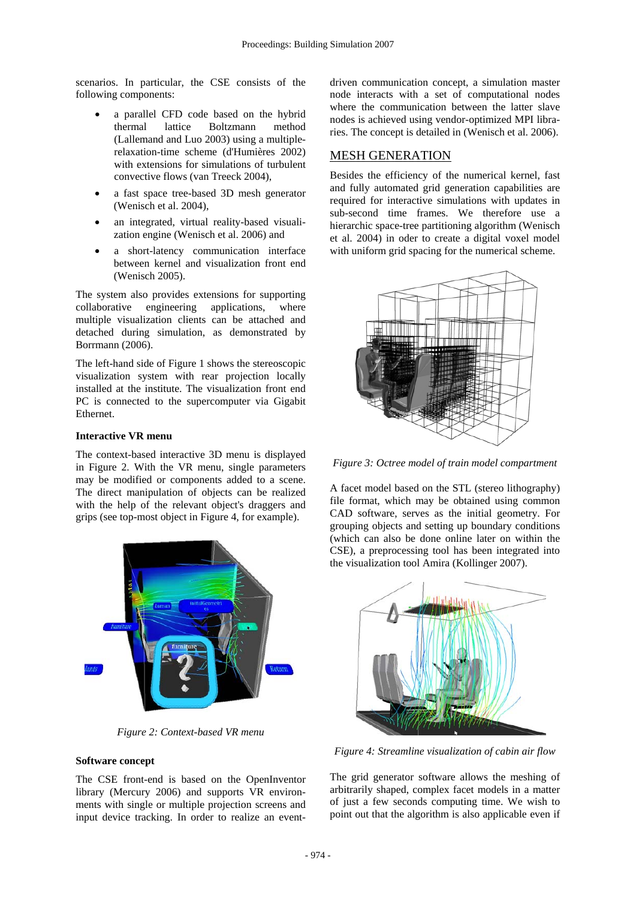scenarios. In particular, the CSE consists of the following components:

- a parallel CFD code based on the hybrid thermal lattice Boltzmann method (Lallemand and Luo 2003) using a multiplerelaxation-time scheme (d'Humières 2002) with extensions for simulations of turbulent convective flows (van Treeck 2004),
- a fast space tree-based 3D mesh generator (Wenisch et al. 2004),
- an integrated, virtual reality-based visualization engine (Wenisch et al. 2006) and
- a short-latency communication interface between kernel and visualization front end (Wenisch 2005).

The system also provides extensions for supporting collaborative engineering applications, where multiple visualization clients can be attached and detached during simulation, as demonstrated by Borrmann (2006).

The left-hand side of Figure 1 shows the stereoscopic visualization system with rear projection locally installed at the institute. The visualization front end PC is connected to the supercomputer via Gigabit Ethernet.

## **Interactive VR menu**

The context-based interactive 3D menu is displayed in Figure 2. With the VR menu, single parameters may be modified or components added to a scene. The direct manipulation of objects can be realized with the help of the relevant object's draggers and grips (see top-most object in Figure 4, for example).



*Figure 2: Context-based VR menu* 

### **Software concept**

The CSE front-end is based on the OpenInventor library (Mercury 2006) and supports VR environments with single or multiple projection screens and input device tracking. In order to realize an eventdriven communication concept, a simulation master node interacts with a set of computational nodes where the communication between the latter slave nodes is achieved using vendor-optimized MPI libraries. The concept is detailed in (Wenisch et al. 2006).

## MESH GENERATION

Besides the efficiency of the numerical kernel, fast and fully automated grid generation capabilities are required for interactive simulations with updates in sub-second time frames. We therefore use a hierarchic space-tree partitioning algorithm (Wenisch et al. 2004) in oder to create a digital voxel model with uniform grid spacing for the numerical scheme.



*Figure 3: Octree model of train model compartment* 

A facet model based on the STL (stereo lithography) file format, which may be obtained using common CAD software, serves as the initial geometry. For grouping objects and setting up boundary conditions (which can also be done online later on within the CSE), a preprocessing tool has been integrated into the visualization tool Amira (Kollinger 2007).



*Figure 4: Streamline visualization of cabin air flow* 

The grid generator software allows the meshing of arbitrarily shaped, complex facet models in a matter of just a few seconds computing time. We wish to point out that the algorithm is also applicable even if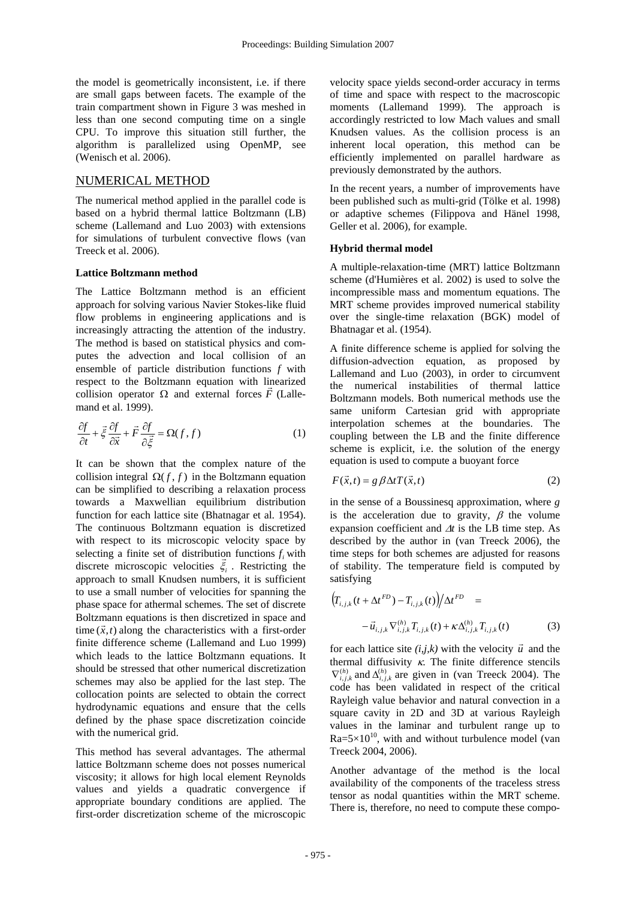the model is geometrically inconsistent, i.e. if there are small gaps between facets. The example of the train compartment shown in Figure 3 was meshed in less than one second computing time on a single CPU. To improve this situation still further, the algorithm is parallelized using OpenMP, see (Wenisch et al. 2006).

## NUMERICAL METHOD

The numerical method applied in the parallel code is based on a hybrid thermal lattice Boltzmann (LB) scheme (Lallemand and Luo 2003) with extensions for simulations of turbulent convective flows (van Treeck et al. 2006).

### **Lattice Boltzmann method**

The Lattice Boltzmann method is an efficient approach for solving various Navier Stokes-like fluid flow problems in engineering applications and is increasingly attracting the attention of the industry. The method is based on statistical physics and computes the advection and local collision of an ensemble of particle distribution functions *f* with respect to the Boltzmann equation with linearized collision operator  $Ω$  and external forces  $F$  (Lallemand et al. 1999).

$$
\frac{\partial f}{\partial t} + \vec{\xi} \frac{\partial f}{\partial \vec{x}} + \vec{F} \frac{\partial f}{\partial \vec{\xi}} = \Omega(f, f) \tag{1}
$$

It can be shown that the complex nature of the collision integral  $\Omega(f, f)$  in the Boltzmann equation can be simplified to describing a relaxation process towards a Maxwellian equilibrium distribution function for each lattice site (Bhatnagar et al. 1954). The continuous Boltzmann equation is discretized with respect to its microscopic velocity space by selecting a finite set of distribution functions  $f_i$  with discrete microscopic velocities  $\xi$ <sub>*i*</sub>. Restricting the approach to small Knudsen numbers, it is sufficient to use a small number of velocities for spanning the phase space for athermal schemes. The set of discrete Boltzmann equations is then discretized in space and time  $(\vec{x}, t)$  along the characteristics with a first-order finite difference scheme (Lallemand and Luo 1999) which leads to the lattice Boltzmann equations. It should be stressed that other numerical discretization schemes may also be applied for the last step. The collocation points are selected to obtain the correct hydrodynamic equations and ensure that the cells defined by the phase space discretization coincide with the numerical grid.

This method has several advantages. The athermal lattice Boltzmann scheme does not posses numerical viscosity; it allows for high local element Reynolds values and yields a quadratic convergence if appropriate boundary conditions are applied. The first-order discretization scheme of the microscopic

velocity space yields second-order accuracy in terms of time and space with respect to the macroscopic moments (Lallemand 1999). The approach is accordingly restricted to low Mach values and small Knudsen values. As the collision process is an inherent local operation, this method can be efficiently implemented on parallel hardware as previously demonstrated by the authors.

In the recent years, a number of improvements have been published such as multi-grid (Tölke et al. 1998) or adaptive schemes (Filippova and Hänel 1998, Geller et al. 2006), for example.

### **Hybrid thermal model**

A multiple-relaxation-time (MRT) lattice Boltzmann scheme (d'Humières et al. 2002) is used to solve the incompressible mass and momentum equations. The MRT scheme provides improved numerical stability over the single-time relaxation (BGK) model of Bhatnagar et al. (1954).

A finite difference scheme is applied for solving the diffusion-advection equation, as proposed by Lallemand and Luo (2003), in order to circumvent the numerical instabilities of thermal lattice Boltzmann models. Both numerical methods use the same uniform Cartesian grid with appropriate interpolation schemes at the boundaries. The coupling between the LB and the finite difference scheme is explicit, i.e. the solution of the energy equation is used to compute a buoyant force

$$
F(\vec{x},t) = g \beta \Delta t T(\vec{x},t)
$$
 (2)

in the sense of a Boussinesq approximation, where *g* is the acceleration due to gravity,  $\beta$  the volume expansion coefficient and Δ*t* is the LB time step. As described by the author in (van Treeck 2006), the time steps for both schemes are adjusted for reasons of stability. The temperature field is computed by satisfying

$$
\left(T_{i,j,k}(t + \Delta t^{FD}) - T_{i,j,k}(t)\right) / \Delta t^{FD} =
$$
  

$$
- \vec{u}_{i,j,k} \nabla_{i,j,k}^{(h)} T_{i,j,k}(t) + \kappa \Delta_{i,j,k}^{(h)} T_{i,j,k}(t)
$$
(3)

for each lattice site  $(i,j,k)$  with the velocity  $\vec{u}$  and the thermal diffusivity  $\kappa$ . The finite difference stencils  $\nabla_{i,j,k}^{(h)}$  and  $\Delta_{i,j,k}^{(h)}$  are given in (van Treeck 2004). The code has been validated in respect of the critical Rayleigh value behavior and natural convection in a square cavity in 2D and 3D at various Rayleigh values in the laminar and turbulent range up to  $Ra=5\times10^{10}$ , with and without turbulence model (van Treeck 2004, 2006).

Another advantage of the method is the local availability of the components of the traceless stress tensor as nodal quantities within the MRT scheme. There is, therefore, no need to compute these compo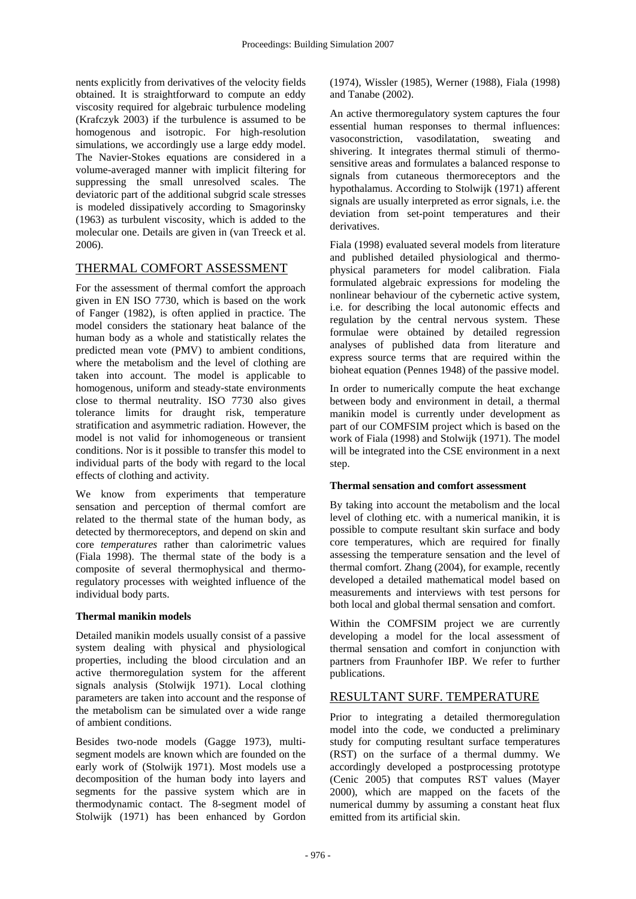nents explicitly from derivatives of the velocity fields obtained. It is straightforward to compute an eddy viscosity required for algebraic turbulence modeling (Krafczyk 2003) if the turbulence is assumed to be homogenous and isotropic. For high-resolution simulations, we accordingly use a large eddy model. The Navier-Stokes equations are considered in a volume-averaged manner with implicit filtering for suppressing the small unresolved scales. The deviatoric part of the additional subgrid scale stresses is modeled dissipatively according to Smagorinsky (1963) as turbulent viscosity, which is added to the molecular one. Details are given in (van Treeck et al. 2006).

# THERMAL COMFORT ASSESSMENT

For the assessment of thermal comfort the approach given in EN ISO 7730, which is based on the work of Fanger (1982), is often applied in practice. The model considers the stationary heat balance of the human body as a whole and statistically relates the predicted mean vote (PMV) to ambient conditions, where the metabolism and the level of clothing are taken into account. The model is applicable to homogenous, uniform and steady-state environments close to thermal neutrality. ISO 7730 also gives tolerance limits for draught risk, temperature stratification and asymmetric radiation. However, the model is not valid for inhomogeneous or transient conditions. Nor is it possible to transfer this model to individual parts of the body with regard to the local effects of clothing and activity.

We know from experiments that temperature sensation and perception of thermal comfort are related to the thermal state of the human body, as detected by thermoreceptors, and depend on skin and core *temperatures* rather than calorimetric values (Fiala 1998). The thermal state of the body is a composite of several thermophysical and thermoregulatory processes with weighted influence of the individual body parts.

## **Thermal manikin models**

Detailed manikin models usually consist of a passive system dealing with physical and physiological properties, including the blood circulation and an active thermoregulation system for the afferent signals analysis (Stolwijk 1971). Local clothing parameters are taken into account and the response of the metabolism can be simulated over a wide range of ambient conditions.

Besides two-node models (Gagge 1973), multisegment models are known which are founded on the early work of (Stolwijk 1971). Most models use a decomposition of the human body into layers and segments for the passive system which are in thermodynamic contact. The 8-segment model of Stolwijk (1971) has been enhanced by Gordon (1974), Wissler (1985), Werner (1988), Fiala (1998) and Tanabe (2002).

An active thermoregulatory system captures the four essential human responses to thermal influences: vasoconstriction, vasodilatation, sweating and shivering. It integrates thermal stimuli of thermosensitive areas and formulates a balanced response to signals from cutaneous thermoreceptors and the hypothalamus. According to Stolwijk (1971) afferent signals are usually interpreted as error signals, i.e. the deviation from set-point temperatures and their derivatives.

Fiala (1998) evaluated several models from literature and published detailed physiological and thermophysical parameters for model calibration. Fiala formulated algebraic expressions for modeling the nonlinear behaviour of the cybernetic active system, i.e. for describing the local autonomic effects and regulation by the central nervous system. These formulae were obtained by detailed regression analyses of published data from literature and express source terms that are required within the bioheat equation (Pennes 1948) of the passive model.

In order to numerically compute the heat exchange between body and environment in detail, a thermal manikin model is currently under development as part of our COMFSIM project which is based on the work of Fiala (1998) and Stolwijk (1971). The model will be integrated into the CSE environment in a next step.

## **Thermal sensation and comfort assessment**

By taking into account the metabolism and the local level of clothing etc. with a numerical manikin, it is possible to compute resultant skin surface and body core temperatures, which are required for finally assessing the temperature sensation and the level of thermal comfort. Zhang (2004), for example, recently developed a detailed mathematical model based on measurements and interviews with test persons for both local and global thermal sensation and comfort.

Within the COMFSIM project we are currently developing a model for the local assessment of thermal sensation and comfort in conjunction with partners from Fraunhofer IBP. We refer to further publications.

# RESULTANT SURF. TEMPERATURE

Prior to integrating a detailed thermoregulation model into the code, we conducted a preliminary study for computing resultant surface temperatures (RST) on the surface of a thermal dummy. We accordingly developed a postprocessing prototype (Cenic 2005) that computes RST values (Mayer 2000), which are mapped on the facets of the numerical dummy by assuming a constant heat flux emitted from its artificial skin.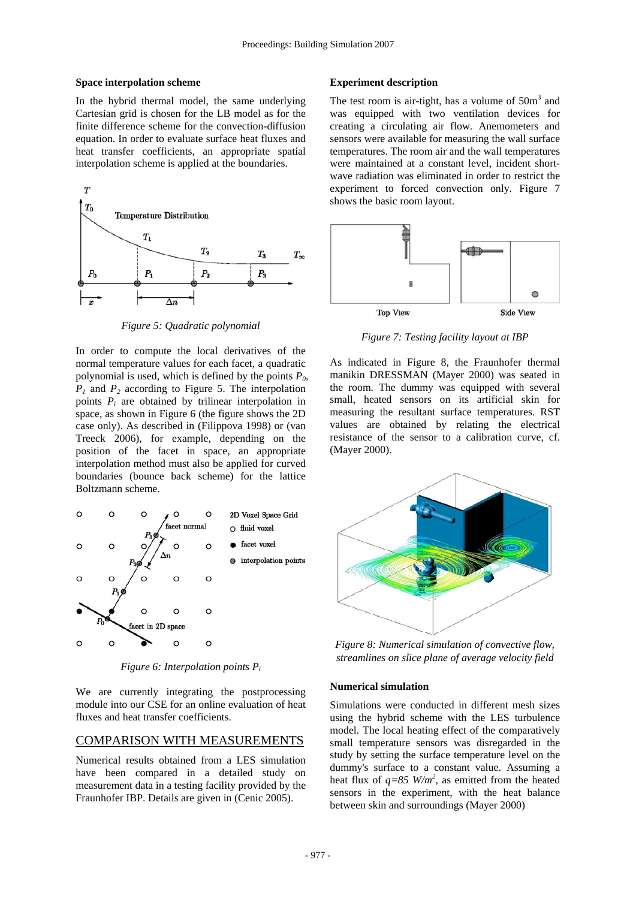#### **Space interpolation scheme**

In the hybrid thermal model, the same underlying Cartesian grid is chosen for the LB model as for the finite difference scheme for the convection-diffusion equation. In order to evaluate surface heat fluxes and heat transfer coefficients, an appropriate spatial interpolation scheme is applied at the boundaries.



*Figure 5: Quadratic polynomial* 

In order to compute the local derivatives of the normal temperature values for each facet, a quadratic polynomial is used, which is defined by the points  $P_0$ ,  $P_1$  and  $P_2$  according to Figure 5. The interpolation points  $P_i$  are obtained by trilinear interpolation in space, as shown in Figure 6 (the figure shows the 2D case only). As described in (Filippova 1998) or (van Treeck 2006), for example, depending on the position of the facet in space, an appropriate interpolation method must also be applied for curved boundaries (bounce back scheme) for the lattice Boltzmann scheme.



*Figure 6: Interpolation points Pi*

We are currently integrating the postprocessing module into our CSE for an online evaluation of heat fluxes and heat transfer coefficients.

### COMPARISON WITH MEASUREMENTS

Numerical results obtained from a LES simulation have been compared in a detailed study on measurement data in a testing facility provided by the Fraunhofer IBP. Details are given in (Cenic 2005).

#### **Experiment description**

The test room is air-tight, has a volume of  $50m<sup>3</sup>$  and was equipped with two ventilation devices for creating a circulating air flow. Anemometers and sensors were available for measuring the wall surface temperatures. The room air and the wall temperatures were maintained at a constant level, incident shortwave radiation was eliminated in order to restrict the experiment to forced convection only. Figure 7 shows the basic room layout.



*Figure 7: Testing facility layout at IBP* 

As indicated in Figure 8, the Fraunhofer thermal manikin DRESSMAN (Mayer 2000) was seated in the room. The dummy was equipped with several small, heated sensors on its artificial skin for measuring the resultant surface temperatures. RST values are obtained by relating the electrical resistance of the sensor to a calibration curve, cf. (Mayer 2000).



*Figure 8: Numerical simulation of convective flow, streamlines on slice plane of average velocity field* 

### **Numerical simulation**

Simulations were conducted in different mesh sizes using the hybrid scheme with the LES turbulence model. The local heating effect of the comparatively small temperature sensors was disregarded in the study by setting the surface temperature level on the dummy's surface to a constant value. Assuming a heat flux of  $q=85$  W/m<sup>2</sup>, as emitted from the heated sensors in the experiment, with the heat balance between skin and surroundings (Mayer 2000)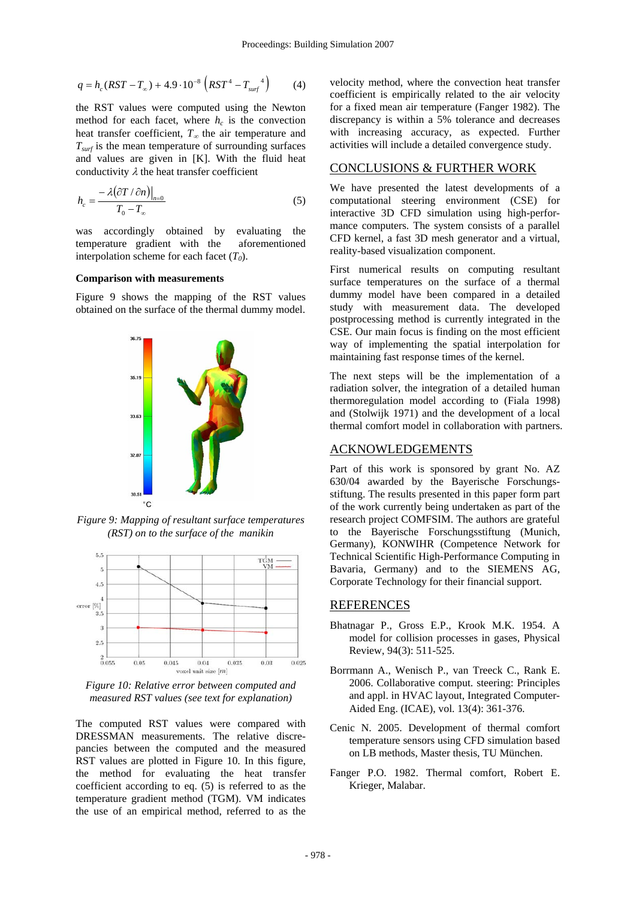$$
q = h_c (RST - T_{\infty}) + 4.9 \cdot 10^{-8} \left( RST^4 - T_{surf}^4 \right) \tag{4}
$$

the RST values were computed using the Newton method for each facet, where  $h_c$  is the convection heat transfer coefficient, *T*∞ the air temperature and  $T<sub>surf</sub>$  is the mean temperature of surrounding surfaces and values are given in [K]. With the fluid heat conductivity  $\lambda$  the heat transfer coefficient

$$
h_c = \frac{-\lambda(\partial T/\partial n)\big|_{n=0}}{T_0 - T_\infty} \tag{5}
$$

was accordingly obtained by evaluating the temperature gradient with the aforementioned interpolation scheme for each facet  $(T_0)$ .

#### **Comparison with measurements**

Figure 9 shows the mapping of the RST values obtained on the surface of the thermal dummy model.



*Figure 9: Mapping of resultant surface temperatures (RST) on to the surface of the manikin* 



*Figure 10: Relative error between computed and measured RST values (see text for explanation)* 

The computed RST values were compared with DRESSMAN measurements. The relative discrepancies between the computed and the measured RST values are plotted in Figure 10. In this figure, the method for evaluating the heat transfer coefficient according to eq. (5) is referred to as the temperature gradient method (TGM). VM indicates the use of an empirical method, referred to as the

velocity method, where the convection heat transfer coefficient is empirically related to the air velocity for a fixed mean air temperature (Fanger 1982). The discrepancy is within a 5% tolerance and decreases with increasing accuracy, as expected. Further activities will include a detailed convergence study.

### CONCLUSIONS & FURTHER WORK

We have presented the latest developments of a computational steering environment (CSE) for interactive 3D CFD simulation using high-performance computers. The system consists of a parallel CFD kernel, a fast 3D mesh generator and a virtual, reality-based visualization component.

First numerical results on computing resultant surface temperatures on the surface of a thermal dummy model have been compared in a detailed study with measurement data. The developed postprocessing method is currently integrated in the CSE. Our main focus is finding on the most efficient way of implementing the spatial interpolation for maintaining fast response times of the kernel.

The next steps will be the implementation of a radiation solver, the integration of a detailed human thermoregulation model according to (Fiala 1998) and (Stolwijk 1971) and the development of a local thermal comfort model in collaboration with partners.

### ACKNOWLEDGEMENTS

Part of this work is sponsored by grant No. AZ 630/04 awarded by the Bayerische Forschungsstiftung. The results presented in this paper form part of the work currently being undertaken as part of the research project COMFSIM. The authors are grateful to the Bayerische Forschungsstiftung (Munich, Germany), KONWIHR (Competence Network for Technical Scientific High-Performance Computing in Bavaria, Germany) and to the SIEMENS AG, Corporate Technology for their financial support.

### REFERENCES

- Bhatnagar P., Gross E.P., Krook M.K. 1954. A model for collision processes in gases, Physical Review, 94(3): 511-525.
- Borrmann A., Wenisch P., van Treeck C., Rank E. 2006. Collaborative comput. steering: Principles and appl. in HVAC layout, Integrated Computer-Aided Eng. (ICAE), vol. 13(4): 361-376.
- Cenic N. 2005. Development of thermal comfort temperature sensors using CFD simulation based on LB methods, Master thesis, TU München.
- Fanger P.O. 1982. Thermal comfort, Robert E. Krieger, Malabar.